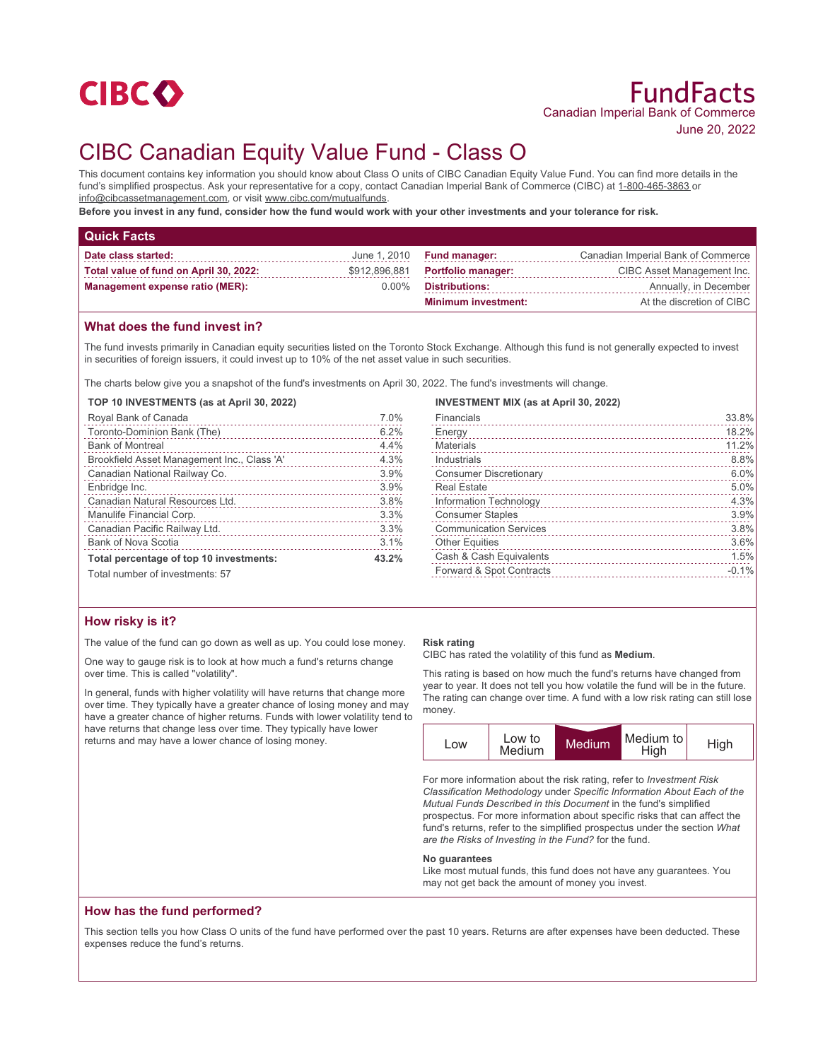

# CIBC Canadian Equity Value Fund - Class O

This document contains key information you should know about Class O units of CIBC Canadian Equity Value Fund. You can find more details in the fund's simplified prospectus. Ask your representative for a copy, contact Canadian Imperial Bank of Commerce (CIBC) at 1-800-465-3863 or info@cibcassetmanagement.com, or visit www.cibc.com/mutualfunds.

**Before you invest in any fund, consider how the fund would work with your other investments and your tolerance for risk.**

| <b>Quick Facts</b>                     |               |                             |                                    |
|----------------------------------------|---------------|-----------------------------|------------------------------------|
| Date class started:                    |               | June $1,2010$ Fund manager: | Canadian Imperial Bank of Commerce |
| Total value of fund on April 30, 2022: | \$912,896,881 | <b>Portfolio manager:</b>   | CIBC Asset Management Inc.         |
| <b>Management expense ratio (MER):</b> | $0.00\%$      | Distributions:              | Annually, in December              |
|                                        |               | <b>Minimum investment:</b>  | At the discretion of CIBC          |

### **What does the fund invest in?**

The fund invests primarily in Canadian equity securities listed on the Toronto Stock Exchange. Although this fund is not generally expected to invest in securities of foreign issuers, it could invest up to 10% of the net asset value in such securities.

The charts below give you a snapshot of the fund's investments on April 30, 2022. The fund's investments will change.

#### **TOP 10 INVESTMENTS (as at April 30, 2022)**

| Royal Bank of Canada                        | 7.0%  |
|---------------------------------------------|-------|
| Toronto-Dominion Bank (The)                 | 6.2%  |
| <b>Bank of Montreal</b>                     | 4.4%  |
| Brookfield Asset Management Inc., Class 'A' | 4.3%  |
| Canadian National Railway Co.               | 3.9%  |
| Enbridge Inc.                               | 3.9%  |
| Canadian Natural Resources Ltd.             | 3.8%  |
| Manulife Financial Corp.                    | 3.3%  |
| Canadian Pacific Railway Ltd.               | 3.3%  |
| <b>Bank of Nova Scotia</b>                  | 3.1%  |
| Total percentage of top 10 investments:     | 43.2% |
| Total number of investments: 57             |       |

# **How risky is it?**

The value of the fund can go down as well as up. You could lose money.

One way to gauge risk is to look at how much a fund's returns change over time. This is called "volatility".

In general, funds with higher volatility will have returns that change more over time. They typically have a greater chance of losing money and may have a greater chance of higher returns. Funds with lower volatility tend to have returns that change less over time. They typically have lower returns and may have a lower chance of losing money.

# **INVESTMENT MIX (as at April 30, 2022)**

| Financials                    | 33.8%   |
|-------------------------------|---------|
| Energy                        | 18.2%   |
| <b>Materials</b>              | 11.2%   |
| Industrials                   | 8.8%    |
| <b>Consumer Discretionary</b> | 6.0%    |
| <b>Real Estate</b>            | 5.0%    |
| Information Technology        | 4.3%    |
| <b>Consumer Staples</b>       | 3.9%    |
| <b>Communication Services</b> | 3.8%    |
| <b>Other Equities</b>         | 3.6%    |
| Cash & Cash Equivalents       | 1.5%    |
| Forward & Spot Contracts      | $-0.1%$ |
|                               |         |

#### **Risk rating**

CIBC has rated the volatility of this fund as **Medium**.

This rating is based on how much the fund's returns have changed from year to year. It does not tell you how volatile the fund will be in the future. The rating can change over time. A fund with a low risk rating can still lose money.



For more information about the risk rating, refer to *Investment Risk Classification Methodology* under *Specific Information About Each of the Mutual Funds Described in this Document* in the fund's simplified prospectus. For more information about specific risks that can affect the fund's returns, refer to the simplified prospectus under the section *What are the Risks of Investing in the Fund?* for the fund.

#### **No guarantees**

Like most mutual funds, this fund does not have any guarantees. You may not get back the amount of money you invest.

#### **How has the fund performed?**

This section tells you how Class O units of the fund have performed over the past 10 years. Returns are after expenses have been deducted. These expenses reduce the fund's returns.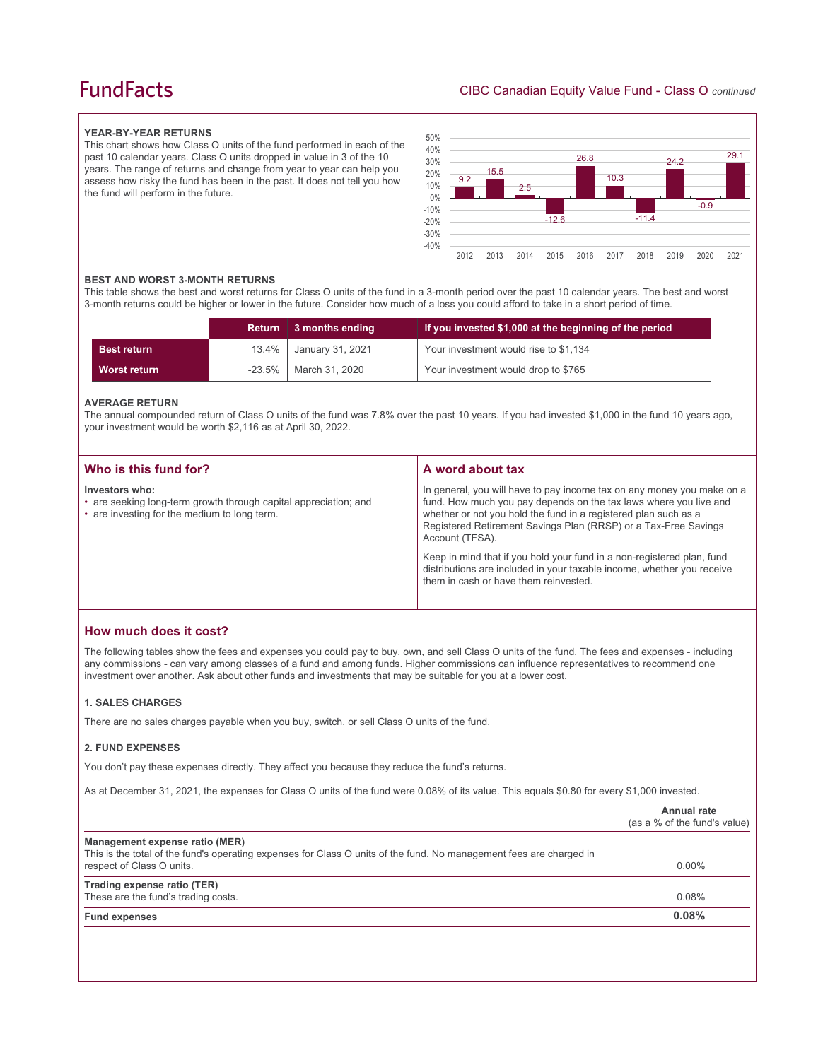# **FundFacts**

#### **YEAR-BY-YEAR RETURNS**

This chart shows how Class O units of the fund performed in each of the past 10 calendar years. Class O units dropped in value in 3 of the 10 years. The range of returns and change from year to year can help you assess how risky the fund has been in the past. It does not tell you how the fund will perform in the future.



#### **BEST AND WORST 3-MONTH RETURNS**

This table shows the best and worst returns for Class O units of the fund in a 3-month period over the past 10 calendar years. The best and worst 3-month returns could be higher or lower in the future. Consider how much of a loss you could afford to take in a short period of time.

|                    | Return | 3 months ending               | If you invested \$1,000 at the beginning of the period |
|--------------------|--------|-------------------------------|--------------------------------------------------------|
| <b>Best return</b> | 13.4%  | <sup>1</sup> January 31, 2021 | Your investment would rise to \$1,134                  |
| Worst return       | -23.5% | March 31, 2020                | Your investment would drop to \$765                    |

#### **AVERAGE RETURN**

The annual compounded return of Class O units of the fund was 7.8% over the past 10 years. If you had invested \$1,000 in the fund 10 years ago, your investment would be worth \$2,116 as at April 30, 2022.

| Who is this fund for?                                                                                                              | A word about tax                                                                                                                                                                                                                                                                                     |
|------------------------------------------------------------------------------------------------------------------------------------|------------------------------------------------------------------------------------------------------------------------------------------------------------------------------------------------------------------------------------------------------------------------------------------------------|
|                                                                                                                                    |                                                                                                                                                                                                                                                                                                      |
| Investors who:<br>• are seeking long-term growth through capital appreciation; and<br>• are investing for the medium to long term. | In general, you will have to pay income tax on any money you make on a<br>fund. How much you pay depends on the tax laws where you live and<br>whether or not you hold the fund in a registered plan such as a<br>Registered Retirement Savings Plan (RRSP) or a Tax-Free Savings<br>Account (TFSA). |
|                                                                                                                                    | Keep in mind that if you hold your fund in a non-registered plan, fund<br>distributions are included in your taxable income, whether you receive<br>them in cash or have them reinvested.                                                                                                            |

## **How much does it cost?**

The following tables show the fees and expenses you could pay to buy, own, and sell Class O units of the fund. The fees and expenses - including any commissions - can vary among classes of a fund and among funds. Higher commissions can influence representatives to recommend one investment over another. Ask about other funds and investments that may be suitable for you at a lower cost.

#### **1. SALES CHARGES**

There are no sales charges payable when you buy, switch, or sell Class O units of the fund.

#### **2. FUND EXPENSES**

You don't pay these expenses directly. They affect you because they reduce the fund's returns.

As at December 31, 2021, the expenses for Class O units of the fund were 0.08% of its value. This equals \$0.80 for every \$1,000 invested.

|                                                                                                                                                       | Annual rate<br>(as a % of the fund's value) |
|-------------------------------------------------------------------------------------------------------------------------------------------------------|---------------------------------------------|
| Management expense ratio (MER)<br>This is the total of the fund's operating expenses for Class O units of the fund. No management fees are charged in |                                             |
| respect of Class O units.                                                                                                                             | $0.00\%$                                    |
| Trading expense ratio (TER)                                                                                                                           |                                             |
| These are the fund's trading costs.                                                                                                                   | 0.08%                                       |
| <b>Fund expenses</b>                                                                                                                                  | 0.08%                                       |
|                                                                                                                                                       |                                             |